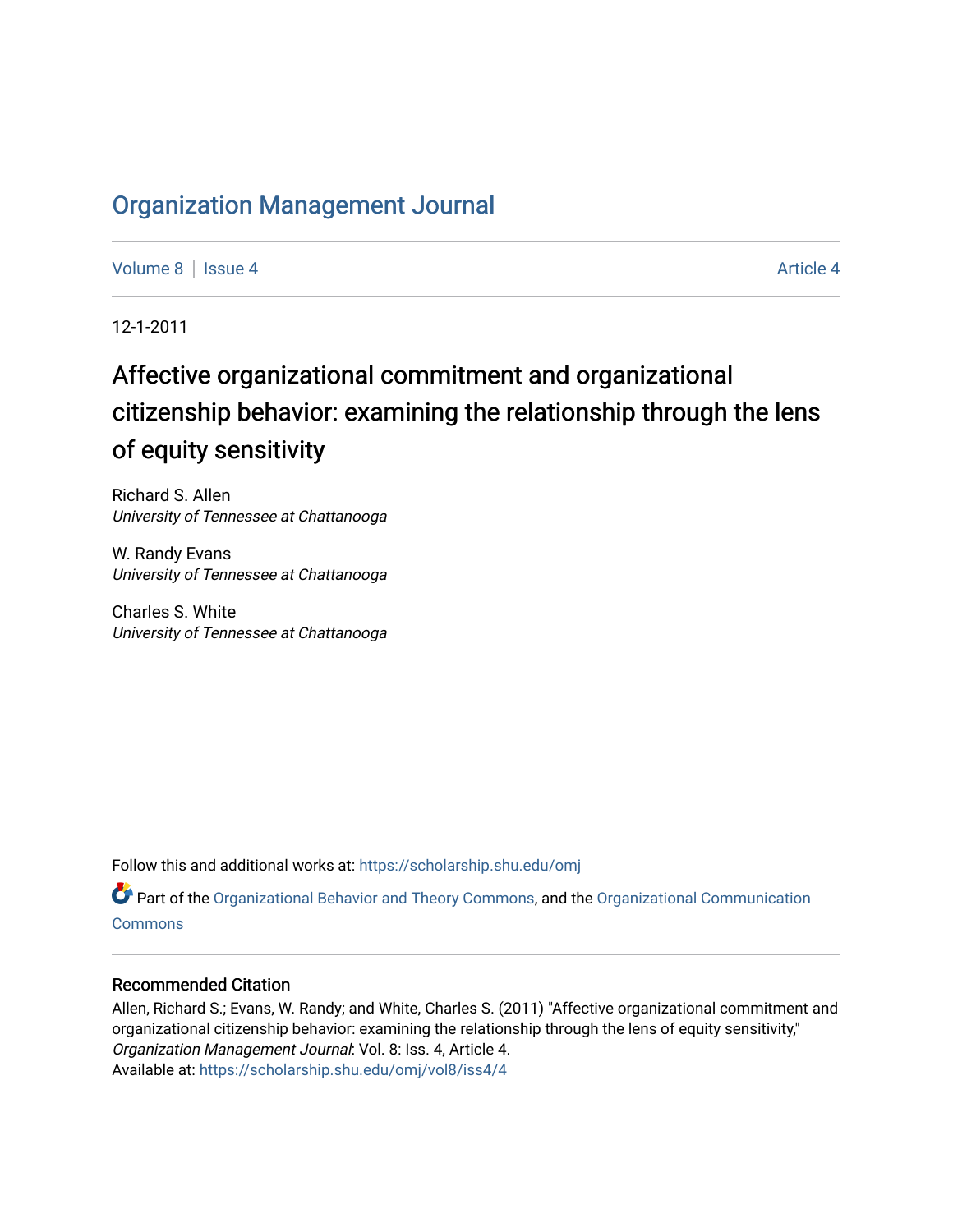# [Organization Management Journal](https://scholarship.shu.edu/omj)

[Volume 8](https://scholarship.shu.edu/omj/vol8) | [Issue 4](https://scholarship.shu.edu/omj/vol8/iss4) Article 4

12-1-2011

# Affective organizational commitment and organizational citizenship behavior: examining the relationship through the lens of equity sensitivity

Richard S. Allen University of Tennessee at Chattanooga

W. Randy Evans University of Tennessee at Chattanooga

Charles S. White University of Tennessee at Chattanooga

Follow this and additional works at: [https://scholarship.shu.edu/omj](https://scholarship.shu.edu/omj?utm_source=scholarship.shu.edu%2Fomj%2Fvol8%2Fiss4%2F4&utm_medium=PDF&utm_campaign=PDFCoverPages) 

Part of the [Organizational Behavior and Theory Commons,](http://network.bepress.com/hgg/discipline/639?utm_source=scholarship.shu.edu%2Fomj%2Fvol8%2Fiss4%2F4&utm_medium=PDF&utm_campaign=PDFCoverPages) and the [Organizational Communication](http://network.bepress.com/hgg/discipline/335?utm_source=scholarship.shu.edu%2Fomj%2Fvol8%2Fiss4%2F4&utm_medium=PDF&utm_campaign=PDFCoverPages) [Commons](http://network.bepress.com/hgg/discipline/335?utm_source=scholarship.shu.edu%2Fomj%2Fvol8%2Fiss4%2F4&utm_medium=PDF&utm_campaign=PDFCoverPages)

#### Recommended Citation

Allen, Richard S.; Evans, W. Randy; and White, Charles S. (2011) "Affective organizational commitment and organizational citizenship behavior: examining the relationship through the lens of equity sensitivity," Organization Management Journal: Vol. 8: Iss. 4, Article 4. Available at: [https://scholarship.shu.edu/omj/vol8/iss4/4](https://scholarship.shu.edu/omj/vol8/iss4/4?utm_source=scholarship.shu.edu%2Fomj%2Fvol8%2Fiss4%2F4&utm_medium=PDF&utm_campaign=PDFCoverPages)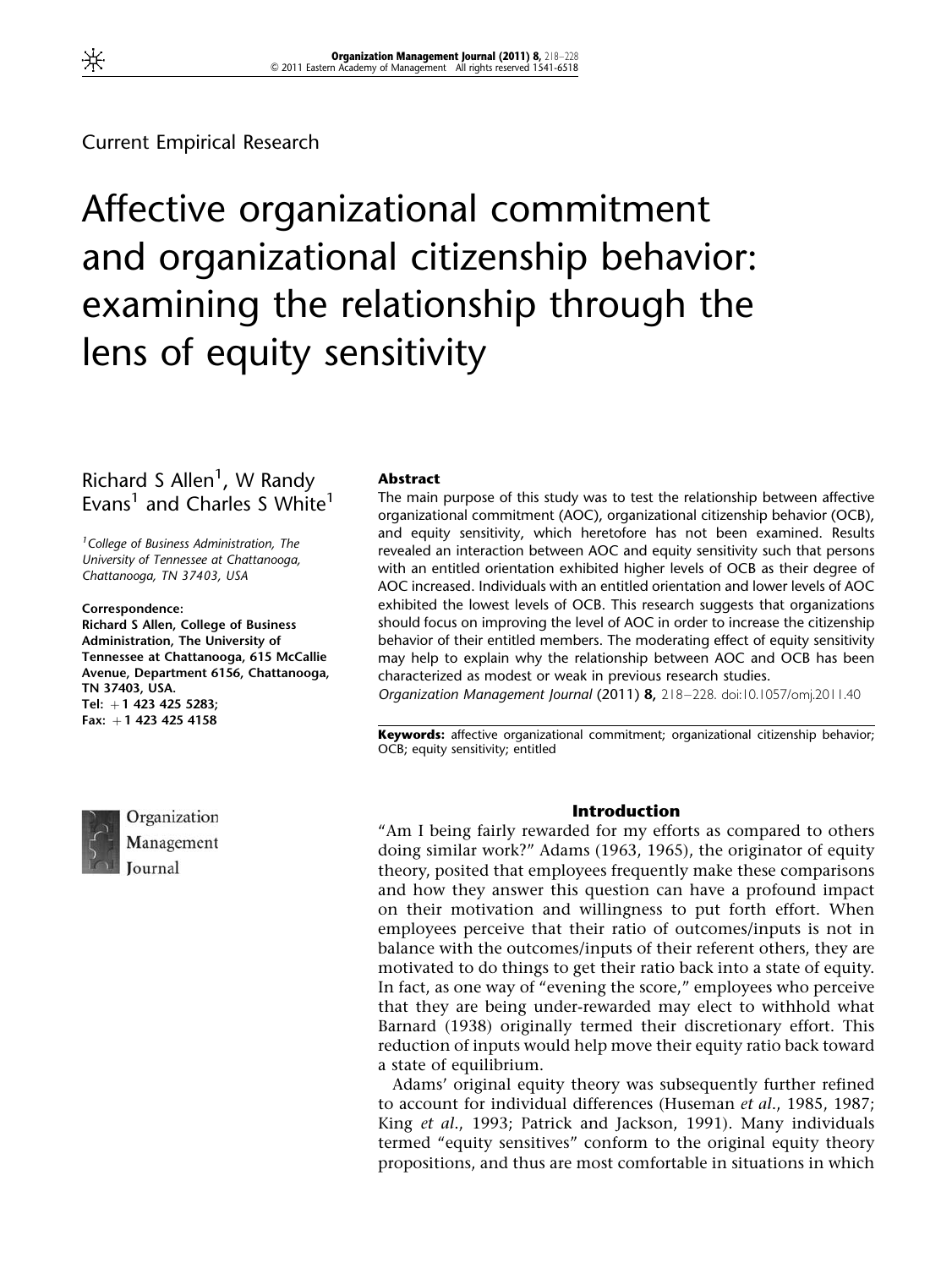### Current Empirical Research

# Affective organizational commitment and organizational citizenship behavior: examining the relationship through the lens of equity sensitivity

## Richard S Allen<sup>1</sup>, W Randy Evans<sup>1</sup> and Charles S White<sup>1</sup>

<sup>1</sup> College of Business Administration, The University of Tennessee at Chattanooga, Chattanooga, TN 37403, USA

Correspondence: Richard S Allen, College of Business Administration, The University of Tennessee at Chattanooga, 615 McCallie Avenue, Department 6156, Chattanooga, TN 37403, USA. Tel:  $+1$  423 425 5283; Fax:  $+1$  423 425 4158

#### **Abstract**

The main purpose of this study was to test the relationship between affective organizational commitment (AOC), organizational citizenship behavior (OCB), and equity sensitivity, which heretofore has not been examined. Results revealed an interaction between AOC and equity sensitivity such that persons with an entitled orientation exhibited higher levels of OCB as their degree of AOC increased. Individuals with an entitled orientation and lower levels of AOC exhibited the lowest levels of OCB. This research suggests that organizations should focus on improving the level of AOC in order to increase the citizenship behavior of their entitled members. The moderating effect of equity sensitivity may help to explain why the relationship between AOC and OCB has been characterized as modest or weak in previous research studies.

Organization Management Journal (2011) 8, 218–228. doi:10.1057/omj.2011.40

Keywords: affective organizational commitment; organizational citizenship behavior; OCB; equity sensitivity; entitled



Organization Management **Journal** 

#### Introduction

"Am I being fairly rewarded for my efforts as compared to others doing similar work?" Adams (1963, 1965), the originator of equity theory, posited that employees frequently make these comparisons and how they answer this question can have a profound impact on their motivation and willingness to put forth effort. When employees perceive that their ratio of outcomes/inputs is not in balance with the outcomes/inputs of their referent others, they are motivated to do things to get their ratio back into a state of equity. In fact, as one way of "evening the score," employees who perceive that they are being under-rewarded may elect to withhold what Barnard (1938) originally termed their discretionary effort. This reduction of inputs would help move their equity ratio back toward a state of equilibrium.

Adams' original equity theory was subsequently further refined to account for individual differences (Huseman et al., 1985, 1987; King et al., 1993; Patrick and Jackson, 1991). Many individuals termed "equity sensitives" conform to the original equity theory propositions, and thus are most comfortable in situations in which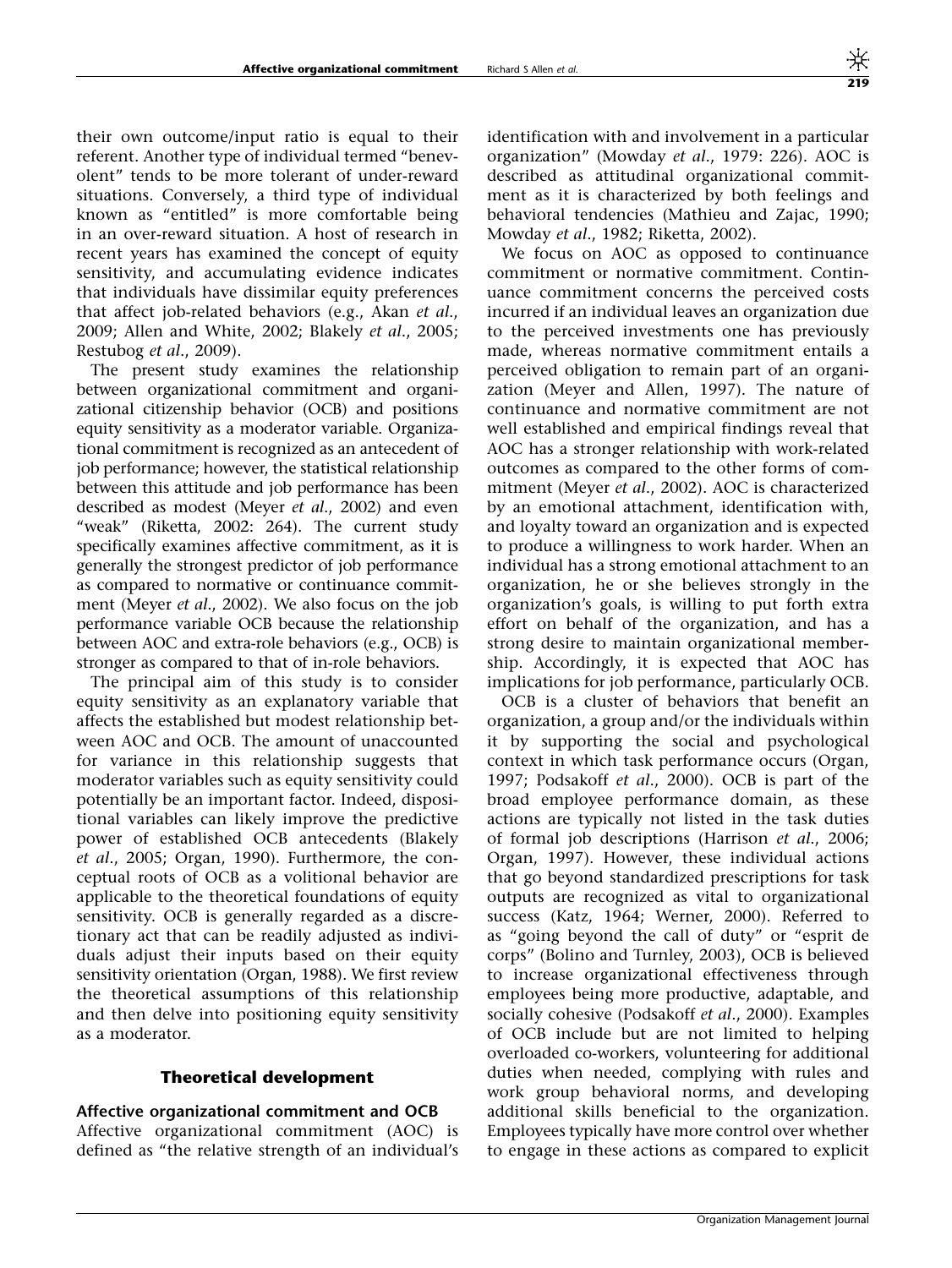their own outcome/input ratio is equal to their referent. Another type of individual termed "benevolent" tends to be more tolerant of under-reward situations. Conversely, a third type of individual known as "entitled" is more comfortable being in an over-reward situation. A host of research in recent years has examined the concept of equity sensitivity, and accumulating evidence indicates that individuals have dissimilar equity preferences that affect job-related behaviors (e.g., Akan et al., 2009; Allen and White, 2002; Blakely et al., 2005; Restubog et al., 2009).

The present study examines the relationship between organizational commitment and organizational citizenship behavior (OCB) and positions equity sensitivity as a moderator variable. Organizational commitment is recognized as an antecedent of job performance; however, the statistical relationship between this attitude and job performance has been described as modest (Meyer et al., 2002) and even "weak" (Riketta, 2002: 264). The current study specifically examines affective commitment, as it is generally the strongest predictor of job performance as compared to normative or continuance commitment (Meyer et al., 2002). We also focus on the job performance variable OCB because the relationship between AOC and extra-role behaviors (e.g., OCB) is stronger as compared to that of in-role behaviors.

The principal aim of this study is to consider equity sensitivity as an explanatory variable that affects the established but modest relationship between AOC and OCB. The amount of unaccounted for variance in this relationship suggests that moderator variables such as equity sensitivity could potentially be an important factor. Indeed, dispositional variables can likely improve the predictive power of established OCB antecedents (Blakely et al., 2005; Organ, 1990). Furthermore, the conceptual roots of OCB as a volitional behavior are applicable to the theoretical foundations of equity sensitivity. OCB is generally regarded as a discretionary act that can be readily adjusted as individuals adjust their inputs based on their equity sensitivity orientation (Organ, 1988). We first review the theoretical assumptions of this relationship and then delve into positioning equity sensitivity as a moderator.

#### Theoretical development

Affective organizational commitment and OCB Affective organizational commitment (AOC) is defined as "the relative strength of an individual's identification with and involvement in a particular organization" (Mowday et al., 1979: 226). AOC is described as attitudinal organizational commitment as it is characterized by both feelings and behavioral tendencies (Mathieu and Zajac, 1990; Mowday et al., 1982; Riketta, 2002).

We focus on AOC as opposed to continuance commitment or normative commitment. Continuance commitment concerns the perceived costs incurred if an individual leaves an organization due to the perceived investments one has previously made, whereas normative commitment entails a perceived obligation to remain part of an organization (Meyer and Allen, 1997). The nature of continuance and normative commitment are not well established and empirical findings reveal that AOC has a stronger relationship with work-related outcomes as compared to the other forms of commitment (Meyer et al., 2002). AOC is characterized by an emotional attachment, identification with, and loyalty toward an organization and is expected to produce a willingness to work harder. When an individual has a strong emotional attachment to an organization, he or she believes strongly in the organization's goals, is willing to put forth extra effort on behalf of the organization, and has a strong desire to maintain organizational membership. Accordingly, it is expected that AOC has implications for job performance, particularly OCB.

OCB is a cluster of behaviors that benefit an organization, a group and/or the individuals within it by supporting the social and psychological context in which task performance occurs (Organ, 1997; Podsakoff et al., 2000). OCB is part of the broad employee performance domain, as these actions are typically not listed in the task duties of formal job descriptions (Harrison et al., 2006; Organ, 1997). However, these individual actions that go beyond standardized prescriptions for task outputs are recognized as vital to organizational success (Katz, 1964; Werner, 2000). Referred to as "going beyond the call of duty" or "esprit de corps" (Bolino and Turnley, 2003), OCB is believed to increase organizational effectiveness through employees being more productive, adaptable, and socially cohesive (Podsakoff et al., 2000). Examples of OCB include but are not limited to helping overloaded co-workers, volunteering for additional duties when needed, complying with rules and work group behavioral norms, and developing additional skills beneficial to the organization. Employees typically have more control over whether to engage in these actions as compared to explicit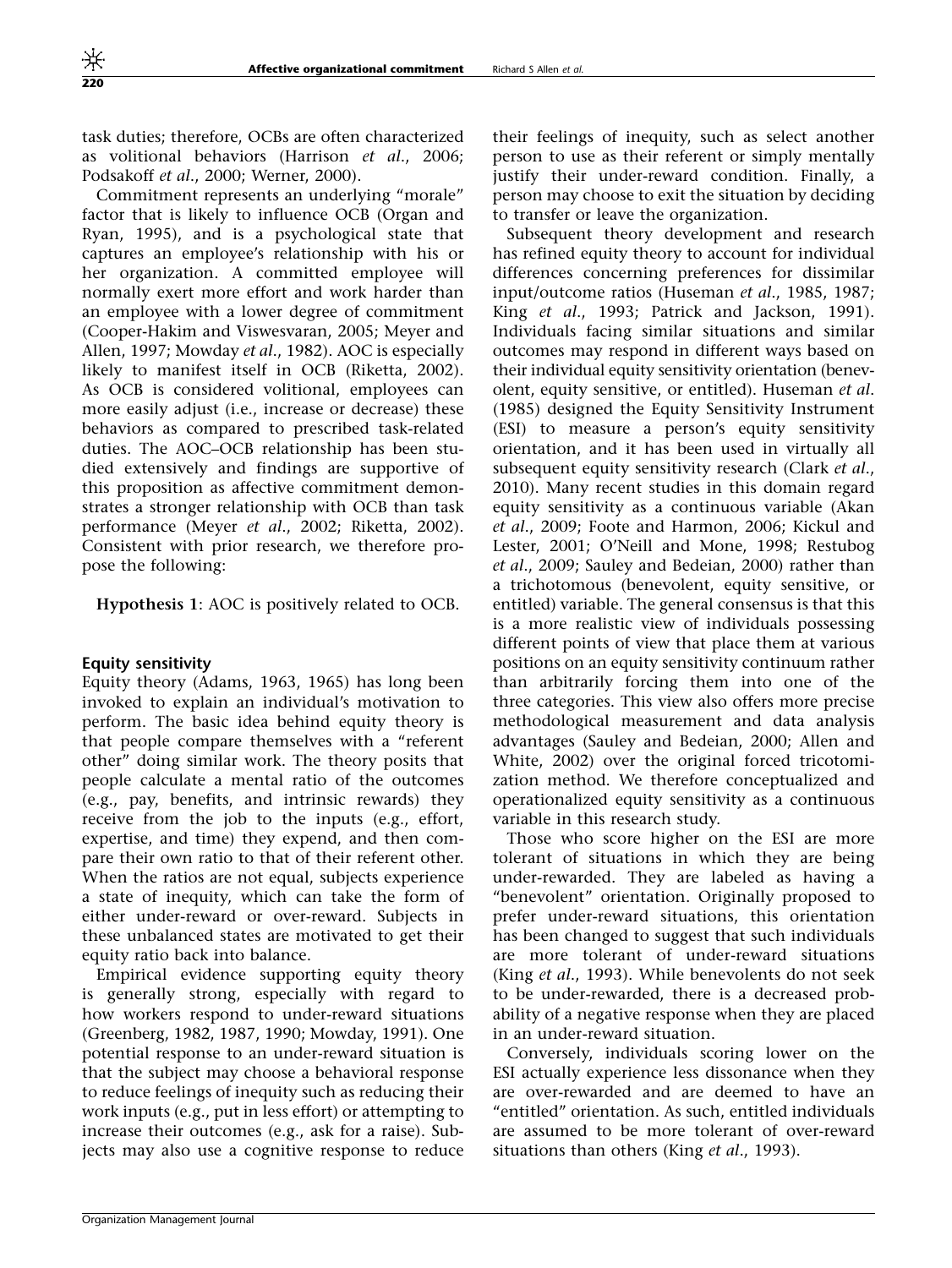task duties; therefore, OCBs are often characterized as volitional behaviors (Harrison et al., 2006; Podsakoff et al., 2000; Werner, 2000).

Commitment represents an underlying "morale" factor that is likely to influence OCB (Organ and Ryan, 1995), and is a psychological state that captures an employee's relationship with his or her organization. A committed employee will normally exert more effort and work harder than an employee with a lower degree of commitment (Cooper-Hakim and Viswesvaran, 2005; Meyer and Allen, 1997; Mowday et al., 1982). AOC is especially likely to manifest itself in OCB (Riketta, 2002). As OCB is considered volitional, employees can more easily adjust (i.e., increase or decrease) these behaviors as compared to prescribed task-related duties. The AOC–OCB relationship has been studied extensively and findings are supportive of this proposition as affective commitment demonstrates a stronger relationship with OCB than task performance (Meyer et al., 2002; Riketta, 2002). Consistent with prior research, we therefore propose the following:

Hypothesis 1: AOC is positively related to OCB.

#### Equity sensitivity

Equity theory (Adams, 1963, 1965) has long been invoked to explain an individual's motivation to perform. The basic idea behind equity theory is that people compare themselves with a "referent other" doing similar work. The theory posits that people calculate a mental ratio of the outcomes (e.g., pay, benefits, and intrinsic rewards) they receive from the job to the inputs (e.g., effort, expertise, and time) they expend, and then compare their own ratio to that of their referent other. When the ratios are not equal, subjects experience a state of inequity, which can take the form of either under-reward or over-reward. Subjects in these unbalanced states are motivated to get their equity ratio back into balance.

Empirical evidence supporting equity theory is generally strong, especially with regard to how workers respond to under-reward situations (Greenberg, 1982, 1987, 1990; Mowday, 1991). One potential response to an under-reward situation is that the subject may choose a behavioral response to reduce feelings of inequity such as reducing their work inputs (e.g., put in less effort) or attempting to increase their outcomes (e.g., ask for a raise). Subjects may also use a cognitive response to reduce their feelings of inequity, such as select another person to use as their referent or simply mentally justify their under-reward condition. Finally, a person may choose to exit the situation by deciding to transfer or leave the organization.

Subsequent theory development and research has refined equity theory to account for individual differences concerning preferences for dissimilar input/outcome ratios (Huseman et al., 1985, 1987; King et al., 1993; Patrick and Jackson, 1991). Individuals facing similar situations and similar outcomes may respond in different ways based on their individual equity sensitivity orientation (benevolent, equity sensitive, or entitled). Huseman et al. (1985) designed the Equity Sensitivity Instrument (ESI) to measure a person's equity sensitivity orientation, and it has been used in virtually all subsequent equity sensitivity research (Clark et al., 2010). Many recent studies in this domain regard equity sensitivity as a continuous variable (Akan et al., 2009; Foote and Harmon, 2006; Kickul and Lester, 2001; O'Neill and Mone, 1998; Restubog et al., 2009; Sauley and Bedeian, 2000) rather than a trichotomous (benevolent, equity sensitive, or entitled) variable. The general consensus is that this is a more realistic view of individuals possessing different points of view that place them at various positions on an equity sensitivity continuum rather than arbitrarily forcing them into one of the three categories. This view also offers more precise methodological measurement and data analysis advantages (Sauley and Bedeian, 2000; Allen and White, 2002) over the original forced tricotomization method. We therefore conceptualized and operationalized equity sensitivity as a continuous variable in this research study.

Those who score higher on the ESI are more tolerant of situations in which they are being under-rewarded. They are labeled as having a "benevolent" orientation. Originally proposed to prefer under-reward situations, this orientation has been changed to suggest that such individuals are more tolerant of under-reward situations (King et al., 1993). While benevolents do not seek to be under-rewarded, there is a decreased probability of a negative response when they are placed in an under-reward situation.

Conversely, individuals scoring lower on the ESI actually experience less dissonance when they are over-rewarded and are deemed to have an "entitled" orientation. As such, entitled individuals are assumed to be more tolerant of over-reward situations than others (King et al., 1993).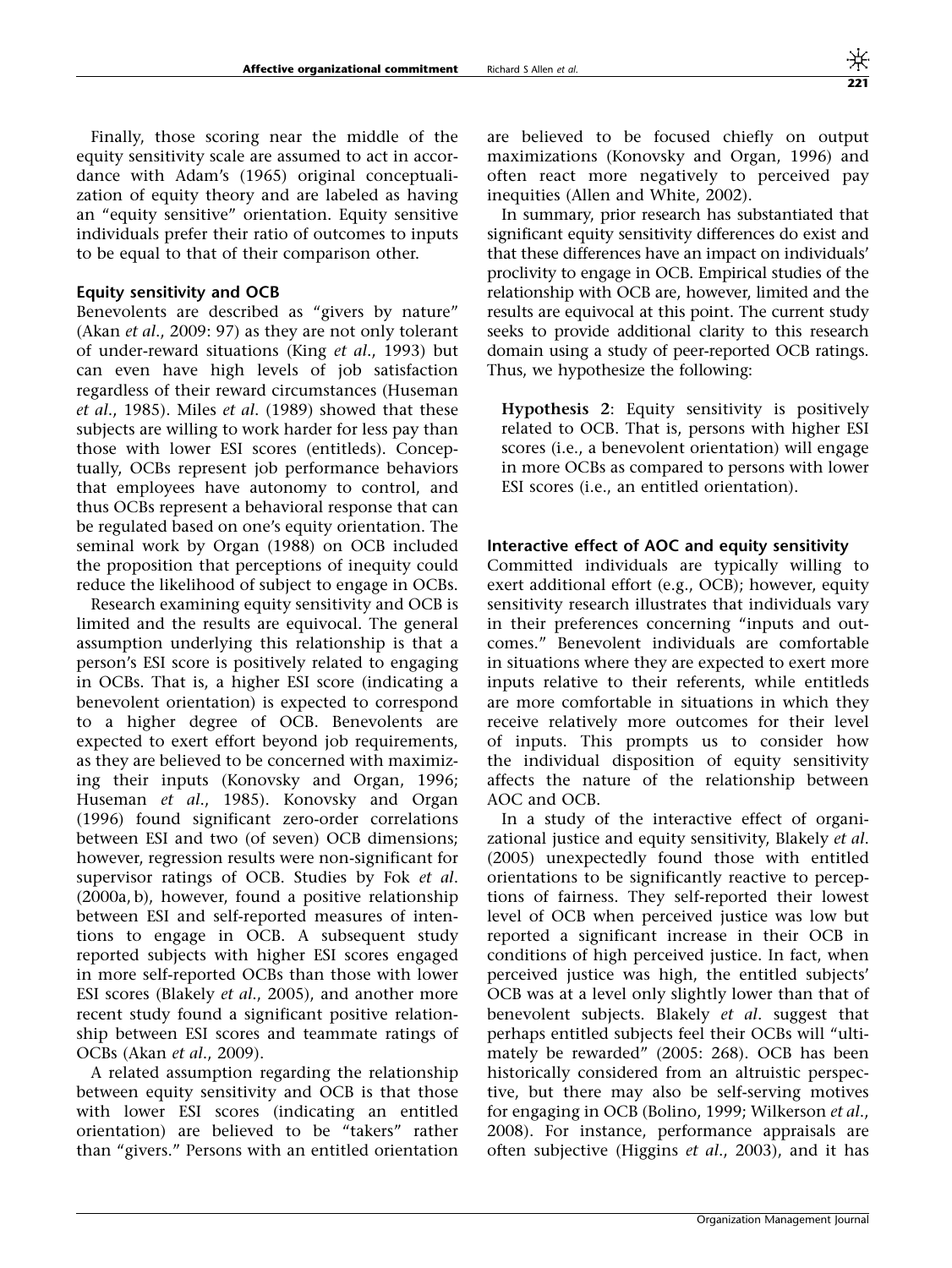Finally, those scoring near the middle of the equity sensitivity scale are assumed to act in accordance with Adam's (1965) original conceptualization of equity theory and are labeled as having an "equity sensitive" orientation. Equity sensitive individuals prefer their ratio of outcomes to inputs to be equal to that of their comparison other.

#### Equity sensitivity and OCB

Benevolents are described as "givers by nature" (Akan et al., 2009: 97) as they are not only tolerant of under-reward situations (King et al., 1993) but can even have high levels of job satisfaction regardless of their reward circumstances (Huseman et al., 1985). Miles et al. (1989) showed that these subjects are willing to work harder for less pay than those with lower ESI scores (entitleds). Conceptually, OCBs represent job performance behaviors that employees have autonomy to control, and thus OCBs represent a behavioral response that can be regulated based on one's equity orientation. The seminal work by Organ (1988) on OCB included the proposition that perceptions of inequity could reduce the likelihood of subject to engage in OCBs.

Research examining equity sensitivity and OCB is limited and the results are equivocal. The general assumption underlying this relationship is that a person's ESI score is positively related to engaging in OCBs. That is, a higher ESI score (indicating a benevolent orientation) is expected to correspond to a higher degree of OCB. Benevolents are expected to exert effort beyond job requirements, as they are believed to be concerned with maximizing their inputs (Konovsky and Organ, 1996; Huseman et al., 1985). Konovsky and Organ (1996) found significant zero-order correlations between ESI and two (of seven) OCB dimensions; however, regression results were non-significant for supervisor ratings of OCB. Studies by Fok et al. (2000a, b), however, found a positive relationship between ESI and self-reported measures of intentions to engage in OCB. A subsequent study reported subjects with higher ESI scores engaged in more self-reported OCBs than those with lower ESI scores (Blakely et al., 2005), and another more recent study found a significant positive relationship between ESI scores and teammate ratings of OCBs (Akan et al., 2009).

A related assumption regarding the relationship between equity sensitivity and OCB is that those with lower ESI scores (indicating an entitled orientation) are believed to be "takers" rather than "givers." Persons with an entitled orientation are believed to be focused chiefly on output maximizations (Konovsky and Organ, 1996) and often react more negatively to perceived pay inequities (Allen and White, 2002).

In summary, prior research has substantiated that significant equity sensitivity differences do exist and that these differences have an impact on individuals' proclivity to engage in OCB. Empirical studies of the relationship with OCB are, however, limited and the results are equivocal at this point. The current study seeks to provide additional clarity to this research domain using a study of peer-reported OCB ratings. Thus, we hypothesize the following:

Hypothesis 2: Equity sensitivity is positively related to OCB. That is, persons with higher ESI scores (i.e., a benevolent orientation) will engage in more OCBs as compared to persons with lower ESI scores (i.e., an entitled orientation).

#### Interactive effect of AOC and equity sensitivity

Committed individuals are typically willing to exert additional effort (e.g., OCB); however, equity sensitivity research illustrates that individuals vary in their preferences concerning "inputs and outcomes." Benevolent individuals are comfortable in situations where they are expected to exert more inputs relative to their referents, while entitleds are more comfortable in situations in which they receive relatively more outcomes for their level of inputs. This prompts us to consider how the individual disposition of equity sensitivity affects the nature of the relationship between AOC and OCB.

In a study of the interactive effect of organizational justice and equity sensitivity, Blakely et al. (2005) unexpectedly found those with entitled orientations to be significantly reactive to perceptions of fairness. They self-reported their lowest level of OCB when perceived justice was low but reported a significant increase in their OCB in conditions of high perceived justice. In fact, when perceived justice was high, the entitled subjects' OCB was at a level only slightly lower than that of benevolent subjects. Blakely et al. suggest that perhaps entitled subjects feel their OCBs will "ultimately be rewarded" (2005: 268). OCB has been historically considered from an altruistic perspective, but there may also be self-serving motives for engaging in OCB (Bolino, 1999; Wilkerson et al., 2008). For instance, performance appraisals are often subjective (Higgins et al., 2003), and it has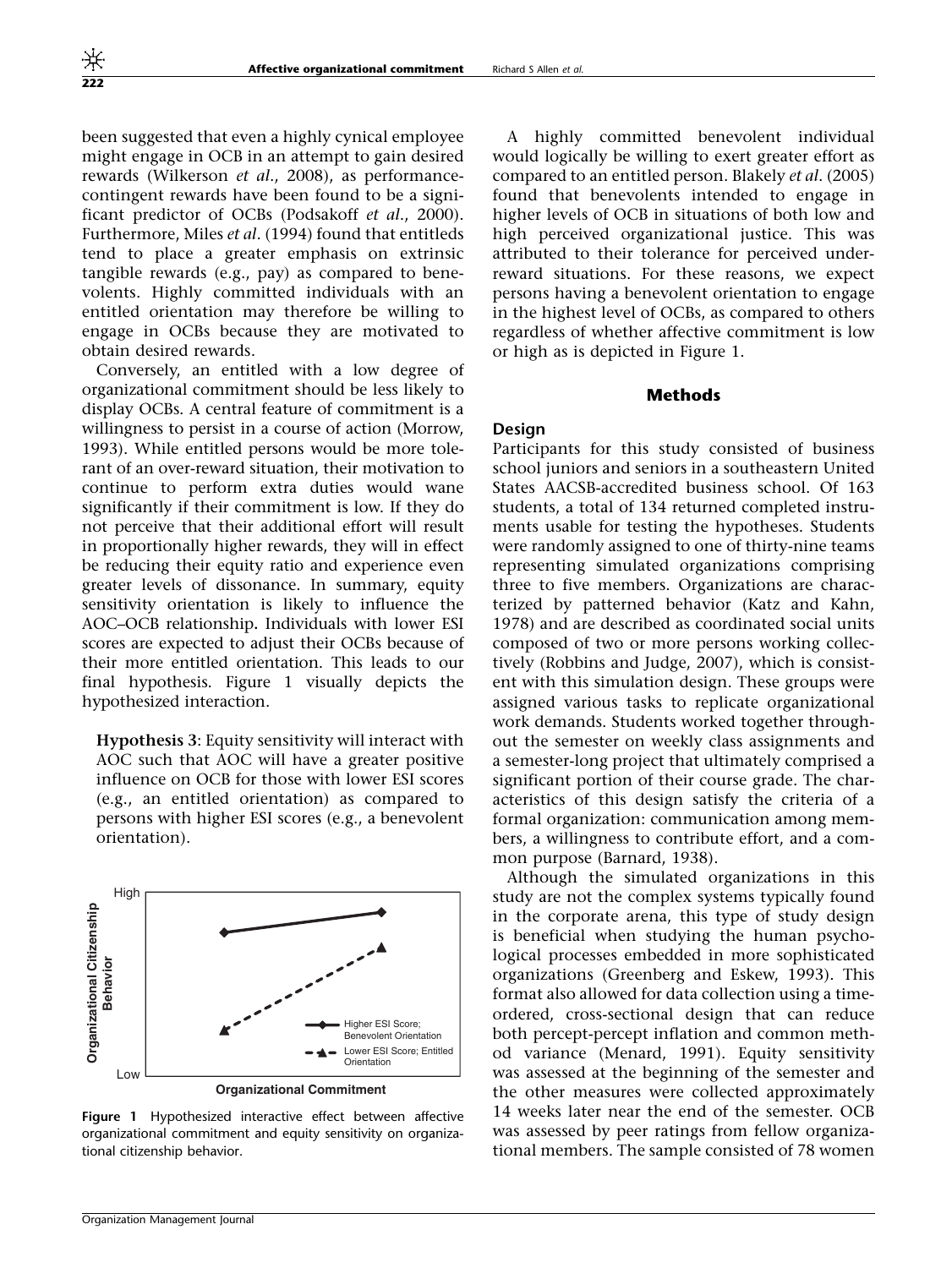been suggested that even a highly cynical employee might engage in OCB in an attempt to gain desired rewards (Wilkerson et al., 2008), as performancecontingent rewards have been found to be a significant predictor of OCBs (Podsakoff et al., 2000). Furthermore, Miles et al. (1994) found that entitleds tend to place a greater emphasis on extrinsic tangible rewards (e.g., pay) as compared to benevolents. Highly committed individuals with an entitled orientation may therefore be willing to engage in OCBs because they are motivated to obtain desired rewards.

Conversely, an entitled with a low degree of organizational commitment should be less likely to display OCBs. A central feature of commitment is a willingness to persist in a course of action (Morrow, 1993). While entitled persons would be more tolerant of an over-reward situation, their motivation to continue to perform extra duties would wane significantly if their commitment is low. If they do not perceive that their additional effort will result in proportionally higher rewards, they will in effect be reducing their equity ratio and experience even greater levels of dissonance. In summary, equity sensitivity orientation is likely to influence the AOC–OCB relationship. Individuals with lower ESI scores are expected to adjust their OCBs because of their more entitled orientation. This leads to our final hypothesis. Figure 1 visually depicts the hypothesized interaction.

Hypothesis 3: Equity sensitivity will interact with AOC such that AOC will have a greater positive influence on OCB for those with lower ESI scores (e.g., an entitled orientation) as compared to persons with higher ESI scores (e.g., a benevolent orientation).



Figure 1 Hypothesized interactive effect between affective organizational commitment and equity sensitivity on organizational citizenship behavior.

A highly committed benevolent individual would logically be willing to exert greater effort as compared to an entitled person. Blakely et al. (2005) found that benevolents intended to engage in higher levels of OCB in situations of both low and high perceived organizational justice. This was attributed to their tolerance for perceived underreward situations. For these reasons, we expect persons having a benevolent orientation to engage in the highest level of OCBs, as compared to others regardless of whether affective commitment is low or high as is depicted in Figure 1.

#### **Methods**

#### Design

Participants for this study consisted of business school juniors and seniors in a southeastern United States AACSB-accredited business school. Of 163 students, a total of 134 returned completed instruments usable for testing the hypotheses. Students were randomly assigned to one of thirty-nine teams representing simulated organizations comprising three to five members. Organizations are characterized by patterned behavior (Katz and Kahn, 1978) and are described as coordinated social units composed of two or more persons working collectively (Robbins and Judge, 2007), which is consistent with this simulation design. These groups were assigned various tasks to replicate organizational work demands. Students worked together throughout the semester on weekly class assignments and a semester-long project that ultimately comprised a significant portion of their course grade. The characteristics of this design satisfy the criteria of a formal organization: communication among members, a willingness to contribute effort, and a common purpose (Barnard, 1938).

Although the simulated organizations in this study are not the complex systems typically found in the corporate arena, this type of study design is beneficial when studying the human psychological processes embedded in more sophisticated organizations (Greenberg and Eskew, 1993). This format also allowed for data collection using a timeordered, cross-sectional design that can reduce both percept-percept inflation and common method variance (Menard, 1991). Equity sensitivity was assessed at the beginning of the semester and the other measures were collected approximately 14 weeks later near the end of the semester. OCB was assessed by peer ratings from fellow organizational members. The sample consisted of 78 women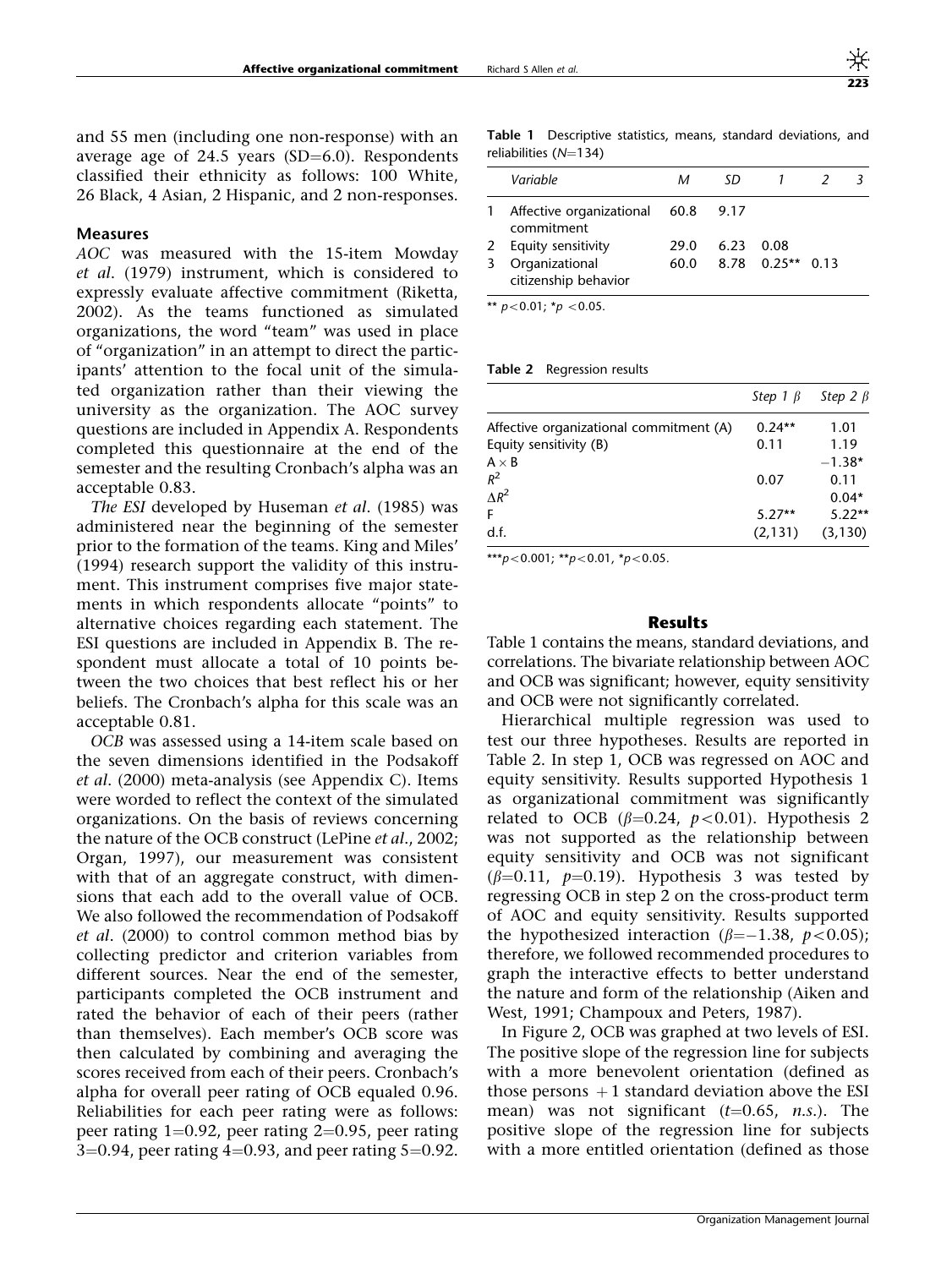and 55 men (including one non-response) with an average age of 24.5 years  $(SD=6.0)$ . Respondents classified their ethnicity as follows: 100 White, 26 Black, 4 Asian, 2 Hispanic, and 2 non-responses.

#### Measures

AOC was measured with the 15-item Mowday et al. (1979) instrument, which is considered to expressly evaluate affective commitment (Riketta, 2002). As the teams functioned as simulated organizations, the word "team" was used in place of "organization" in an attempt to direct the participants' attention to the focal unit of the simulated organization rather than their viewing the university as the organization. The AOC survey questions are included in Appendix A. Respondents completed this questionnaire at the end of the semester and the resulting Cronbach's alpha was an acceptable 0.83.

The ESI developed by Huseman et al. (1985) was administered near the beginning of the semester prior to the formation of the teams. King and Miles' (1994) research support the validity of this instrument. This instrument comprises five major statements in which respondents allocate "points" to alternative choices regarding each statement. The ESI questions are included in Appendix B. The respondent must allocate a total of 10 points between the two choices that best reflect his or her beliefs. The Cronbach's alpha for this scale was an acceptable 0.81.

OCB was assessed using a 14-item scale based on the seven dimensions identified in the Podsakoff et al. (2000) meta-analysis (see Appendix C). Items were worded to reflect the context of the simulated organizations. On the basis of reviews concerning the nature of the OCB construct (LePine et al., 2002; Organ, 1997), our measurement was consistent with that of an aggregate construct, with dimensions that each add to the overall value of OCB. We also followed the recommendation of Podsakoff et al. (2000) to control common method bias by collecting predictor and criterion variables from different sources. Near the end of the semester, participants completed the OCB instrument and rated the behavior of each of their peers (rather than themselves). Each member's OCB score was then calculated by combining and averaging the scores received from each of their peers. Cronbach's alpha for overall peer rating of OCB equaled 0.96. Reliabilities for each peer rating were as follows: peer rating  $1=0.92$ , peer rating  $2=0.95$ , peer rating 3=0.94, peer rating  $4=0.93$ , and peer rating  $5=0.92$ .

Table 1 Descriptive statistics, means, standard deviations, and reliabilities  $(N=134)$ 

|   | Variable                               | м    | SD.  |                  |  |
|---|----------------------------------------|------|------|------------------|--|
|   | Affective organizational<br>commitment | 60.8 | 9.17 |                  |  |
| 2 | Equity sensitivity                     | 29.0 | 6.23 | 0.08             |  |
| 3 | Organizational<br>citizenship behavior | 60.0 |      | 8.78 0.25** 0.13 |  |

\*\*  $p < 0.01$ ; \* $p < 0.05$ .

Table 2 Regression results

|                                         | Step 1 $\beta$ | Step 2 $\beta$ |
|-----------------------------------------|----------------|----------------|
| Affective organizational commitment (A) | $0.24**$       | 1.01           |
| Equity sensitivity (B)                  | 0.11           | 1.19           |
| $A \times B$                            |                | $-1.38*$       |
| $R^2$                                   | 0.07           | 0.11           |
| $\Delta R^2$                            |                | $0.04*$        |
| F                                       | $5.27**$       | $5.22**$       |
| d.f.                                    | (2, 131)       | (3, 130)       |

\*\*\*p<0.001; \*\*p<0.01, \*p<0.05.

#### **Results**

Table 1 contains the means, standard deviations, and correlations. The bivariate relationship between AOC and OCB was significant; however, equity sensitivity and OCB were not significantly correlated.

Hierarchical multiple regression was used to test our three hypotheses. Results are reported in Table 2. In step 1, OCB was regressed on AOC and equity sensitivity. Results supported Hypothesis 1 as organizational commitment was significantly related to OCB  $(\beta=0.24, p<0.01)$ . Hypothesis 2 was not supported as the relationship between equity sensitivity and OCB was not significant  $(\beta=0.11, p=0.19)$ . Hypothesis 3 was tested by regressing OCB in step 2 on the cross-product term of AOC and equity sensitivity. Results supported the hypothesized interaction ( $\beta = -1.38$ ,  $p < 0.05$ ); therefore, we followed recommended procedures to graph the interactive effects to better understand the nature and form of the relationship (Aiken and West, 1991; Champoux and Peters, 1987).

In Figure 2, OCB was graphed at two levels of ESI. The positive slope of the regression line for subjects with a more benevolent orientation (defined as those persons  $+1$  standard deviation above the ESI mean) was not significant  $(t=0.65, n.s.).$  The positive slope of the regression line for subjects with a more entitled orientation (defined as those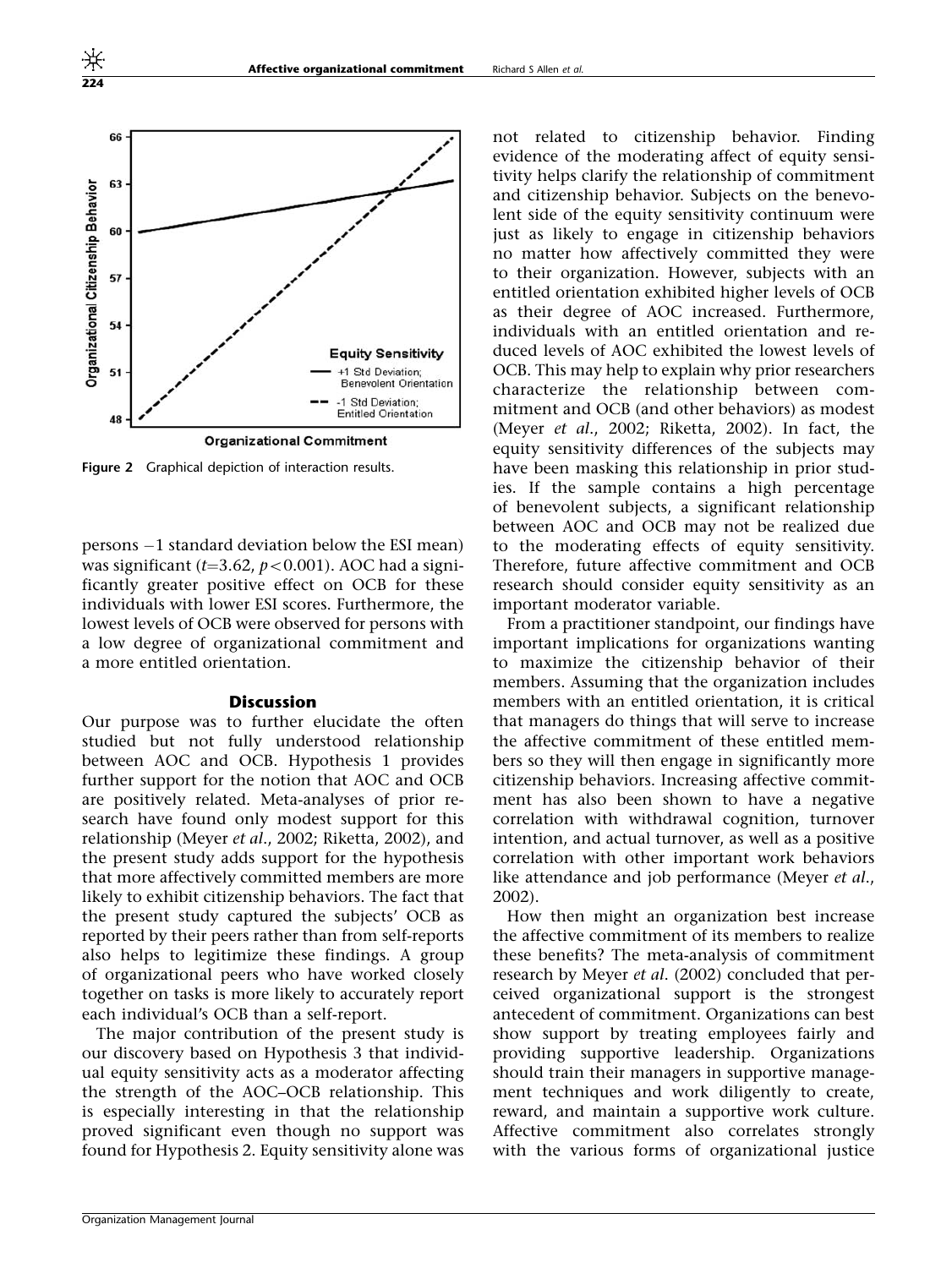

Figure 2 Graphical depiction of interaction results.

persons -1 standard deviation below the ESI mean) was significant ( $t=3.62$ ,  $p<0.001$ ). AOC had a significantly greater positive effect on OCB for these individuals with lower ESI scores. Furthermore, the lowest levels of OCB were observed for persons with a low degree of organizational commitment and a more entitled orientation.

#### Discussion

Our purpose was to further elucidate the often studied but not fully understood relationship between AOC and OCB. Hypothesis 1 provides further support for the notion that AOC and OCB are positively related. Meta-analyses of prior research have found only modest support for this relationship (Meyer et al., 2002; Riketta, 2002), and the present study adds support for the hypothesis that more affectively committed members are more likely to exhibit citizenship behaviors. The fact that the present study captured the subjects' OCB as reported by their peers rather than from self-reports also helps to legitimize these findings. A group of organizational peers who have worked closely together on tasks is more likely to accurately report each individual's OCB than a self-report.

The major contribution of the present study is our discovery based on Hypothesis 3 that individual equity sensitivity acts as a moderator affecting the strength of the AOC–OCB relationship. This is especially interesting in that the relationship proved significant even though no support was found for Hypothesis 2. Equity sensitivity alone was not related to citizenship behavior. Finding evidence of the moderating affect of equity sensitivity helps clarify the relationship of commitment and citizenship behavior. Subjects on the benevolent side of the equity sensitivity continuum were just as likely to engage in citizenship behaviors no matter how affectively committed they were to their organization. However, subjects with an entitled orientation exhibited higher levels of OCB as their degree of AOC increased. Furthermore, individuals with an entitled orientation and reduced levels of AOC exhibited the lowest levels of OCB. This may help to explain why prior researchers characterize the relationship between commitment and OCB (and other behaviors) as modest (Meyer et al., 2002; Riketta, 2002). In fact, the equity sensitivity differences of the subjects may have been masking this relationship in prior studies. If the sample contains a high percentage of benevolent subjects, a significant relationship between AOC and OCB may not be realized due to the moderating effects of equity sensitivity. Therefore, future affective commitment and OCB research should consider equity sensitivity as an important moderator variable.

From a practitioner standpoint, our findings have important implications for organizations wanting to maximize the citizenship behavior of their members. Assuming that the organization includes members with an entitled orientation, it is critical that managers do things that will serve to increase the affective commitment of these entitled members so they will then engage in significantly more citizenship behaviors. Increasing affective commitment has also been shown to have a negative correlation with withdrawal cognition, turnover intention, and actual turnover, as well as a positive correlation with other important work behaviors like attendance and job performance (Meyer et al., 2002).

How then might an organization best increase the affective commitment of its members to realize these benefits? The meta-analysis of commitment research by Meyer et al. (2002) concluded that perceived organizational support is the strongest antecedent of commitment. Organizations can best show support by treating employees fairly and providing supportive leadership. Organizations should train their managers in supportive management techniques and work diligently to create, reward, and maintain a supportive work culture. Affective commitment also correlates strongly with the various forms of organizational justice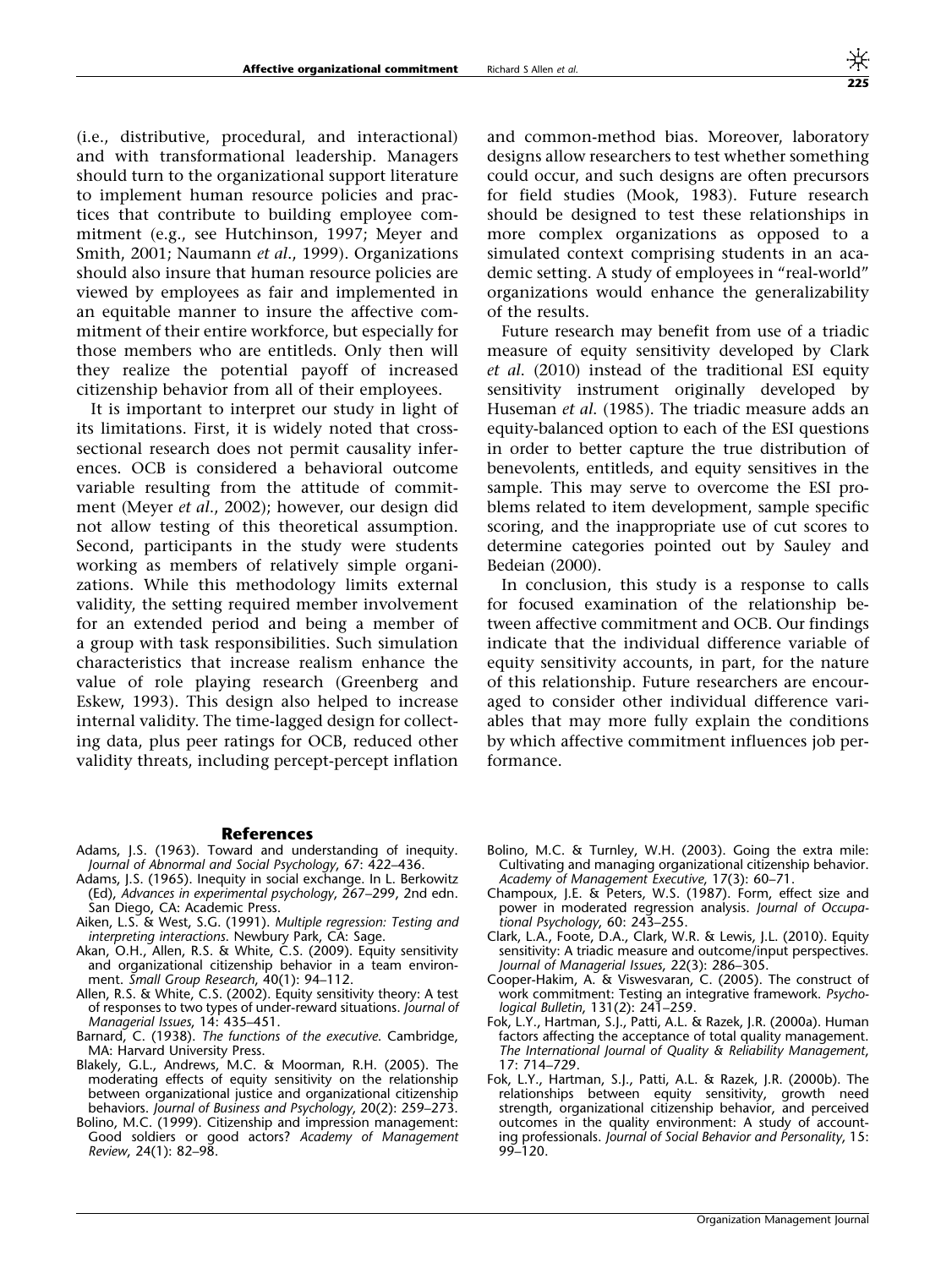(i.e., distributive, procedural, and interactional) and with transformational leadership. Managers should turn to the organizational support literature to implement human resource policies and practices that contribute to building employee commitment (e.g., see Hutchinson, 1997; Meyer and Smith, 2001; Naumann et al., 1999). Organizations should also insure that human resource policies are viewed by employees as fair and implemented in an equitable manner to insure the affective commitment of their entire workforce, but especially for those members who are entitleds. Only then will they realize the potential payoff of increased citizenship behavior from all of their employees.

It is important to interpret our study in light of its limitations. First, it is widely noted that crosssectional research does not permit causality inferences. OCB is considered a behavioral outcome variable resulting from the attitude of commitment (Meyer et al., 2002); however, our design did not allow testing of this theoretical assumption. Second, participants in the study were students working as members of relatively simple organizations. While this methodology limits external validity, the setting required member involvement for an extended period and being a member of a group with task responsibilities. Such simulation characteristics that increase realism enhance the value of role playing research (Greenberg and Eskew, 1993). This design also helped to increase internal validity. The time-lagged design for collecting data, plus peer ratings for OCB, reduced other validity threats, including percept-percept inflation and common-method bias. Moreover, laboratory designs allow researchers to test whether something could occur, and such designs are often precursors for field studies (Mook, 1983). Future research should be designed to test these relationships in more complex organizations as opposed to a simulated context comprising students in an academic setting. A study of employees in "real-world" organizations would enhance the generalizability of the results.

Future research may benefit from use of a triadic measure of equity sensitivity developed by Clark et al. (2010) instead of the traditional ESI equity sensitivity instrument originally developed by Huseman et al. (1985). The triadic measure adds an equity-balanced option to each of the ESI questions in order to better capture the true distribution of benevolents, entitleds, and equity sensitives in the sample. This may serve to overcome the ESI problems related to item development, sample specific scoring, and the inappropriate use of cut scores to determine categories pointed out by Sauley and Bedeian (2000).

In conclusion, this study is a response to calls for focused examination of the relationship between affective commitment and OCB. Our findings indicate that the individual difference variable of equity sensitivity accounts, in part, for the nature of this relationship. Future researchers are encouraged to consider other individual difference variables that may more fully explain the conditions by which affective commitment influences job performance.

#### References

- Adams, J.S. (1963). Toward and understanding of inequity. Journal of Abnormal and Social Psychology, 67: 422–436.
- Adams, J.S. (1965). Inequity in social exchange. In L. Berkowitz (Ed), Advances in experimental psychology, 267–299, 2nd edn. San Diego, CA: Academic Press.
- Aiken, L.S. & West, S.G. (1991). Multiple regression: Testing and interpreting interactions. Newbury Park, CA: Sage.
- Akan, O.H., Allen, R.S. & White, C.S. (2009). Equity sensitivity and organizational citizenship behavior in a team environment. Small Group Research, 40(1): 94-112.
- Allen, R.S. & White, C.S. (2002). Equity sensitivity theory: A test of responses to two types of under-reward situations. Journal of Managerial Issues, 14: 435–451.
- Barnard, C. (1938). The functions of the executive. Cambridge, MA: Harvard University Press.
- Blakely, G.L., Andrews, M.C. & Moorman, R.H. (2005). The moderating effects of equity sensitivity on the relationship between organizational justice and organizational citizenship behaviors. Journal of Business and Psychology, 20(2): 259–273.
- Bolino, M.C. (1999). Citizenship and impression management: Good soldiers or good actors? Academy of Management Review, 24(1): 82–98.
- Bolino, M.C. & Turnley, W.H. (2003). Going the extra mile: Cultivating and managing organizational citizenship behavior. Academy of Management Executive, 17(3): 60–71.
- Champoux, J.E. & Peters, W.S. (1987). Form, effect size and power in moderated regression analysis. Journal of Occupational Psychology, 60: 243–255.
- Clark, L.A., Foote, D.A., Clark, W.R. & Lewis, J.L. (2010). Equity sensitivity: A triadic measure and outcome/input perspectives. Journal of Managerial Issues, 22(3): 286–305.
- Cooper-Hakim, A. & Viswesvaran, C. (2005). The construct of work commitment: Testing an integrative framework. Psychological Bulletin, 131(2): 241–259.
- Fok, L.Y., Hartman, S.J., Patti, A.L. & Razek, J.R. (2000a). Human factors affecting the acceptance of total quality management. The International Journal of Quality & Reliability Management, 17: 714–729.
- Fok, L.Y., Hartman, S.J., Patti, A.L. & Razek, J.R. (2000b). The relationships between equity sensitivity, growth need strength, organizational citizenship behavior, and perceived outcomes in the quality environment: A study of accounting professionals. Journal of Social Behavior and Personality, 15:  $99-120$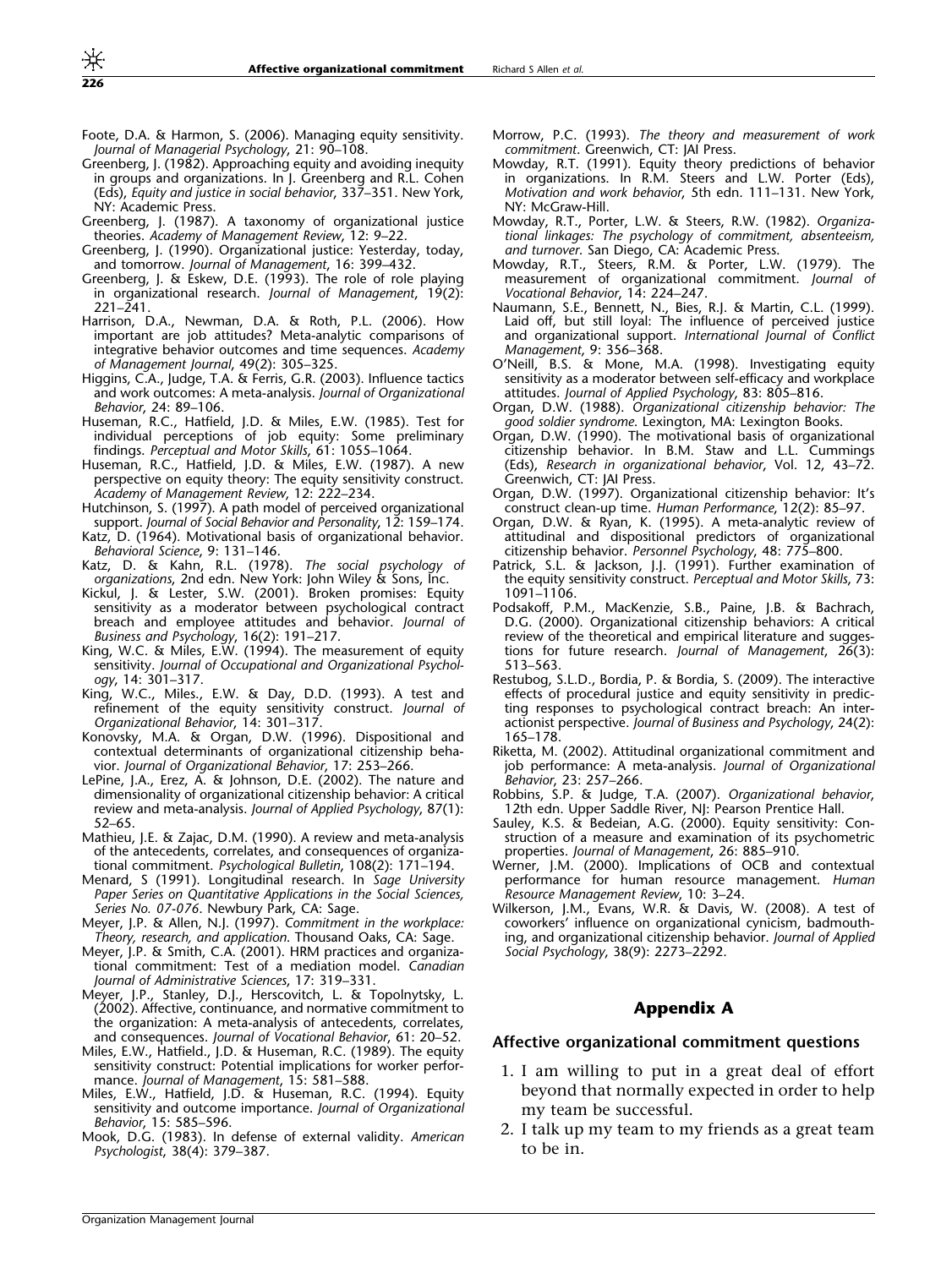- Greenberg, J. (1982). Approaching equity and avoiding inequity in groups and organizations. In J. Greenberg and R.L. Cohen (Eds), Equity and justice in social behavior, 337–351. New York, NY: Academic Press.
- Greenberg, J. (1987). A taxonomy of organizational justice theories. Academy of Management Review, 12: 9–22.
- Greenberg, J. (1990). Organizational justice: Yesterday, today, and tomorrow. Journal of Management, 16: 399–432.
- Greenberg, J. & Eskew, D.E. (1993). The role of role playing in organizational research. Journal of Management, 19(2): 221–241.
- Harrison, D.A., Newman, D.A. & Roth, P.L. (2006). How important are job attitudes? Meta-analytic comparisons of integrative behavior outcomes and time sequences. Academy of Management Journal, 49(2): 305–325.
- Higgins, C.A., Judge, T.A. & Ferris, G.R. (2003). Influence tactics and work outcomes: A meta-analysis. Journal of Organizational Behavior, 24: 89–106.
- Huseman, R.C., Hatfield, J.D. & Miles, E.W. (1985). Test for individual perceptions of job equity: Some preliminary findings. Perceptual and Motor Skills, 61: 1055–1064.
- Huseman, R.C., Hatfield, J.D. & Miles, E.W. (1987). A new perspective on equity theory: The equity sensitivity construct. Academy of Management Review, 12: 222–234.
- Hutchinson, S. (1997). A path model of perceived organizational support. Journal of Social Behavior and Personality, 12: 159-174.
- Katz, D. (1964). Motivational basis of organizational behavior. Behavioral Science, 9: 131–146.
- Katz, D. & Kahn, R.L. (1978). The social psychology of organizations, 2nd edn. New York: John Wiley & Sons, Inc.
- Kickul, J. & Lester, S.W. (2001). Broken promises: Equity sensitivity as a moderator between psychological contract breach and employee attitudes and behavior. Journal of Business and Psychology, 16(2): 191–217.
- King, W.C. & Miles, E.W. (1994). The measurement of equity sensitivity. Journal of Occupational and Organizational Psychology, 14: 301–317.
- King, W.C., Miles., E.W. & Day, D.D. (1993). A test and refinement of the equity sensitivity construct. Journal of Organizational Behavior, 14: 301–317.
- Konovsky, M.A. & Organ, D.W. (1996). Dispositional and contextual determinants of organizational citizenship behavior. Journal of Organizational Behavior, 17: 253–266.
- LePine, J.A., Erez, A. & Johnson, D.E. (2002). The nature and dimensionality of organizational citizenship behavior: A critical review and meta-analysis. Journal of Applied Psychology, 87(1): 52–65.
- Mathieu, J.E. & Zajac, D.M. (1990). A review and meta-analysis of the antecedents, correlates, and consequences of organizational commitment. Psychological Bulletin, 108(2): 171–194.
- Menard, S (1991). Longitudinal research. In Sage University Paper Series on Quantitative Applications in the Social Sciences, Series No. 07-076. Newbury Park, CA: Sage.
- Meyer, J.P. & Allen, N.J. (1997). Commitment in the workplace: Theory, research, and application. Thousand Oaks, CA: Sage.
- Meyer, J.P. & Smith, C.A. (2001). HRM practices and organizational commitment: Test of a mediation model. Canadian Journal of Administrative Sciences, 17: 319–331.
- Meyer, J.P., Stanley, D.J., Herscovitch, L. & Topolnytsky, L. (2002). Affective, continuance, and normative commitment to the organization: A meta-analysis of antecedents, correlates, and consequences. Journal of Vocational Behavior, 61: 20–52.
- Miles, E.W., Hatfield., J.D. & Huseman, R.C. (1989). The equity sensitivity construct: Potential implications for worker performance. Journal of Management, 15: 581–588.
- Miles, E.W., Hatfield, J.D. & Huseman, R.C. (1994). Equity sensitivity and outcome importance. Journal of Organizational Behavior, 15: 585–596.
- Mook, D.G. (1983). In defense of external validity. American Psychologist, 38(4): 379–387.
- Morrow, P.C. (1993). The theory and measurement of work commitment. Greenwich, CT: JAI Press.
- Mowday, R.T. (1991). Equity theory predictions of behavior in organizations. In R.M. Steers and L.W. Porter (Eds), Motivation and work behavior, 5th edn. 111–131. New York, NY: McGraw-Hill.
- Mowday, R.T., Porter, L.W. & Steers, R.W. (1982). Organizational linkages: The psychology of commitment, absenteeism, and turnover. San Diego, CA: Academic Press.
- Mowday, R.T., Steers, R.M. & Porter, L.W. (1979). The measurement of organizational commitment. Journal of Vocational Behavior, 14: 224–247.
- Naumann, S.E., Bennett, N., Bies, R.J. & Martin, C.L. (1999). Laid off, but still loyal: The influence of perceived justice and organizational support. International Journal of Conflict Management, 9: 356–368.
- O'Neill, B.S. & Mone, M.A. (1998). Investigating equity sensitivity as a moderator between self-efficacy and workplace attitudes. Journal of Applied Psychology, 83: 805–816.
- Organ, D.W. (1988). Organizational citizenship behavior: The good soldier syndrome. Lexington, MA: Lexington Books.
- Organ, D.W. (1990). The motivational basis of organizational citizenship behavior. In B.M. Staw and L.L. Cummings (Eds), Research in organizational behavior, Vol. 12, 43–72. Greenwich, CT: JAI Press.
- Organ, D.W. (1997). Organizational citizenship behavior: It's construct clean-up time. Human Performance, 12(2): 85–97.
- Organ, D.W. & Ryan, K. (1995). A meta-analytic review of attitudinal and dispositional predictors of organizational citizenship behavior. Personnel Psychology, 48: 775-800.
- Patrick, S.L. & Jackson, J.J. (1991). Further examination of the equity sensitivity construct. Perceptual and Motor Skills, 73: 1091–1106.
- Podsakoff, P.M., MacKenzie, S.B., Paine, J.B. & Bachrach, D.G. (2000). Organizational citizenship behaviors: A critical review of the theoretical and empirical literature and suggestions for future research. Journal of Management, 26(3): 513–563.
- Restubog, S.L.D., Bordia, P. & Bordia, S. (2009). The interactive effects of procedural justice and equity sensitivity in predicting responses to psychological contract breach: An interactionist perspective. Journal of Business and Psychology, 24(2): 165–178.
- Riketta, M. (2002). Attitudinal organizational commitment and job performance: A meta-analysis. Journal of Organizational Behavior, 23: 257–266.
- Robbins, S.P. & Judge, T.A. (2007). Organizational behavior, 12th edn. Upper Saddle River, NJ: Pearson Prentice Hall.
- Sauley, K.S. & Bedeian, A.G. (2000). Equity sensitivity: Construction of a measure and examination of its psychometric properties. Journal of Management, 26: 885–910.
- Werner, J.M. (2000). Implications of OCB and contextual performance for human resource management. Human Resource Management Review, 10: 3–24.
- Wilkerson, J.M., Evans, W.R. & Davis, W. (2008). A test of coworkers' influence on organizational cynicism, badmouthing, and organizational citizenship behavior. Journal of Applied Social Psychology, 38(9): 2273–2292.

#### Appendix A

#### Affective organizational commitment questions

- 1. I am willing to put in a great deal of effort beyond that normally expected in order to help my team be successful.
- 2. I talk up my team to my friends as a great team to be in.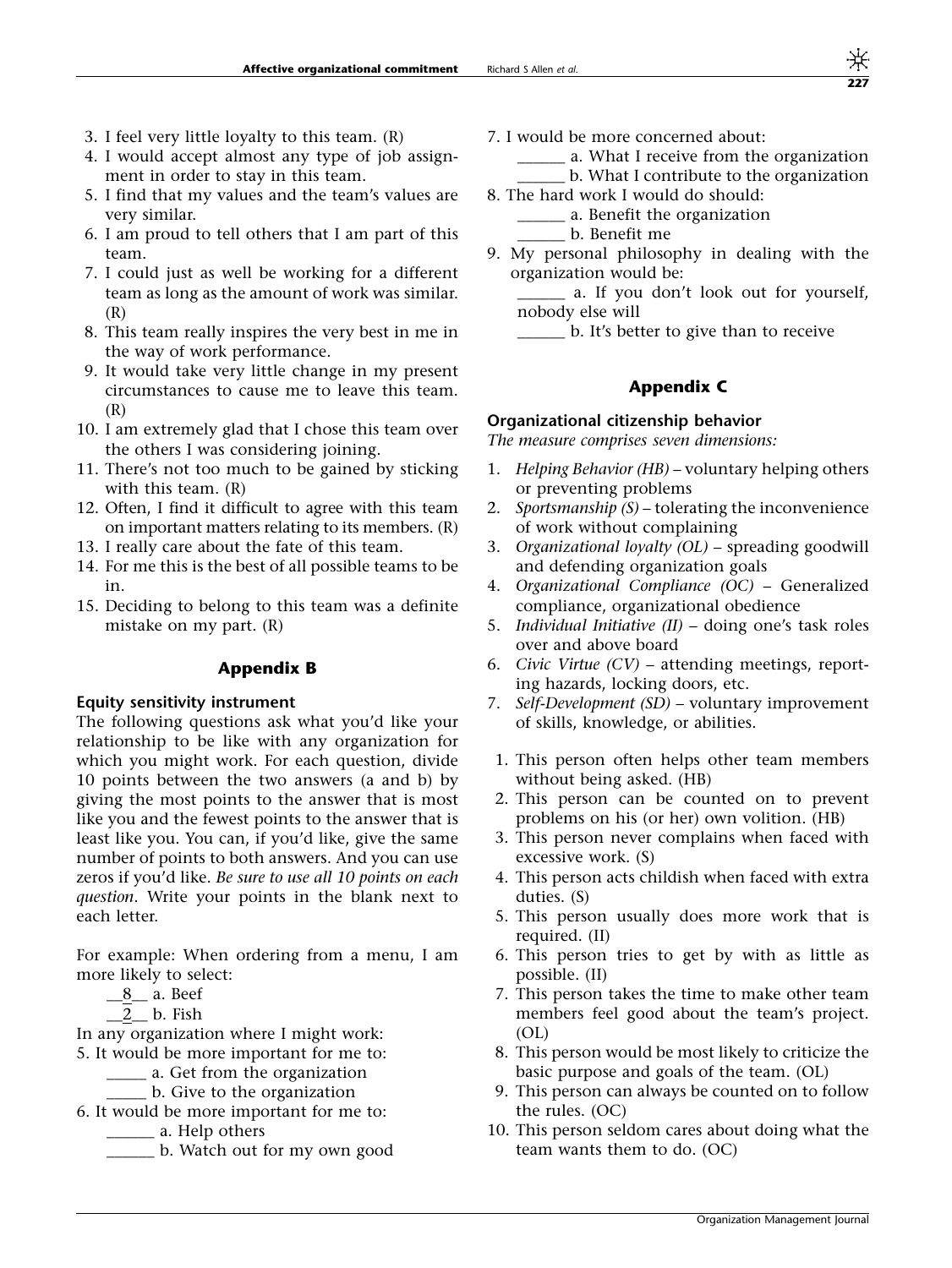227

- 4. I would accept almost any type of job assignment in order to stay in this team.
- 5. I find that my values and the team's values are very similar.
- 6. I am proud to tell others that I am part of this team.
- 7. I could just as well be working for a different team as long as the amount of work was similar. (R)
- 8. This team really inspires the very best in me in the way of work performance.
- 9. It would take very little change in my present circumstances to cause me to leave this team. (R)
- 10. I am extremely glad that I chose this team over the others I was considering joining.
- 11. There's not too much to be gained by sticking with this team. (R)
- 12. Often, I find it difficult to agree with this team on important matters relating to its members. (R)
- 13. I really care about the fate of this team.
- 14. For me this is the best of all possible teams to be in.
- 15. Deciding to belong to this team was a definite mistake on my part. (R)

#### Appendix B

#### Equity sensitivity instrument

The following questions ask what you'd like your relationship to be like with any organization for which you might work. For each question, divide 10 points between the two answers (a and b) by giving the most points to the answer that is most like you and the fewest points to the answer that is least like you. You can, if you'd like, give the same number of points to both answers. And you can use zeros if you'd like. Be sure to use all 10 points on each question. Write your points in the blank next to each letter.

For example: When ordering from a menu, I am more likely to select:

\_\_8\_\_ a. Beef

 $\overline{2}$  b. Fish

In any organization where I might work: 5. It would be more important for me to:

- \_\_\_\_\_ a. Get from the organization
	- \_\_\_\_\_ b. Give to the organization
- 6. It would be more important for me to: \_\_\_\_\_\_ a. Help others
	- \_\_\_\_\_\_ b. Watch out for my own good

7. I would be more concerned about:

\_\_\_\_\_\_ a. What I receive from the organization

\_\_\_\_\_\_ b. What I contribute to the organization 8. The hard work I would do should:

\_\_\_\_\_\_ a. Benefit the organization

\_\_\_\_\_\_ b. Benefit me

9. My personal philosophy in dealing with the organization would be:

\_\_\_\_\_\_ a. If you don't look out for yourself, nobody else will

\_\_\_\_\_\_ b. It's better to give than to receive

#### Appendix C

#### Organizational citizenship behavior

The measure comprises seven dimensions:

- 1. Helping Behavior (HB) voluntary helping others or preventing problems
- 2. Sportsmanship  $(S)$  tolerating the inconvenience of work without complaining
- 3. Organizational loyalty (OL) spreading goodwill and defending organization goals
- 4. Organizational Compliance (OC) Generalized compliance, organizational obedience
- 5. Individual Initiative (II) doing one's task roles over and above board
- 6. Civic Virtue  $(CV)$  attending meetings, reporting hazards, locking doors, etc.
- 7. Self-Development (SD) voluntary improvement of skills, knowledge, or abilities.
- 1. This person often helps other team members without being asked. (HB)
- 2. This person can be counted on to prevent problems on his (or her) own volition. (HB)
- 3. This person never complains when faced with excessive work. (S)
- 4. This person acts childish when faced with extra duties. (S)
- 5. This person usually does more work that is required. (II)
- 6. This person tries to get by with as little as possible. (II)
- 7. This person takes the time to make other team members feel good about the team's project. (OL)
- 8. This person would be most likely to criticize the basic purpose and goals of the team. (OL)
- 9. This person can always be counted on to follow the rules. (OC)
- 10. This person seldom cares about doing what the team wants them to do. (OC)